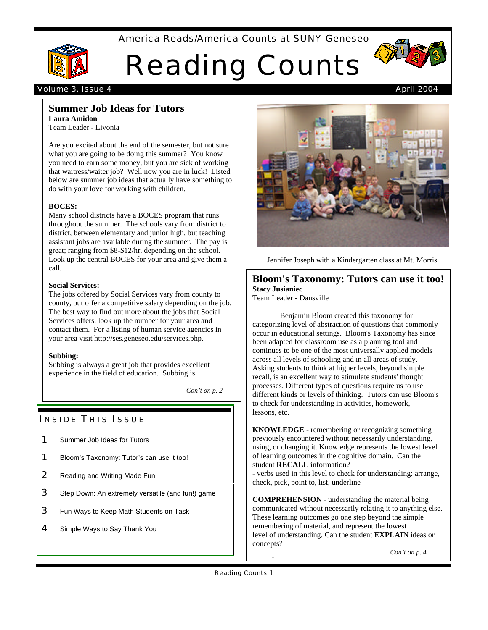# America Reads/America Counts at SUNY Geneseo



# Reading Counts



### Volume 3, Issue 4 April 2004

#### **Summer Job Ideas for Tutors Laura Amidon**

Team Leader - Livonia

Are you excited about the end of the semester, but not sure what you are going to be doing this summer? You know you need to earn some money, but you are sick of working that waitress/waiter job? Well now you are in luck! Listed below are summer job ideas that actually have something to do with your love for working with children.

#### **BOCES:**

Many school districts have a BOCES program that runs throughout the summer. The schools vary from district to district, between elementary and junior high, but teaching assistant jobs are available during the summer. The pay is great; ranging from \$8-\$12/hr. depending on the school. Look up the central BOCES for your area and give them a call.

#### **Social Services:**

The jobs offered by Social Services vary from county to county, but offer a competitive salary depending on the job. The best way to find out more about the jobs that Social Services offers, look up the number for your area and contact them. For a listing of human service agencies in your area visit http://ses.geneseo.edu/services.php.

#### **Subbing:**

Subbing is always a great job that provides excellent experience in the field of education. Subbing is

*Con't on p. 2*

# **INSIDE THIS ISSUE**

- **1** Summer Job Ideas for Tutors
- **1** Bloom's Taxonomy: Tutor's can use it too!
- **2** Reading and Writing Made Fun
- 3 Step Down: An extremely versatile (and fun!) game
- **3** Fun Ways to Keep Math Students on Task
- 4 Simple Ways to Say Thank You



Jennifer Joseph with a Kindergarten class at Mt. Morris

# **Bloom's Taxonomy: Tutors can use it too! Stacy Jusianiec**

Team Leader - Dansville

Benjamin Bloom created this taxonomy for categorizing level of abstraction of questions that commonly occur in educational settings. Bloom's Taxonomy has since been adapted for classroom use as a planning tool and continues to be one of the most universally applied models across all levels of schooling and in all areas of study. Asking students to think at higher levels, beyond simple recall, is an excellent way to stimulate students' thought processes. Different types of questions require us to use different kinds or levels of thinking. Tutors can use Bloom's to check for understanding in activities, homework, lessons, etc.

**KNOWLEDGE** - remembering or recognizing something previously encountered without necessarily understanding, using, or changing it. Knowledge represents the lowest level of learning outcomes in the cognitive domain. Can the student **RECALL** information?

- verbs used in this level to check for understanding: arrange, check, pick, point to, list, underline

**COMPREHENSION** - understanding the material being communicated without necessarily relating it to anything else. These learning outcomes go one step beyond the simple remembering of material, and represent the lowest level of understanding. Can the student **EXPLAIN** ideas or concepts?

*Con't on p. 4*

reword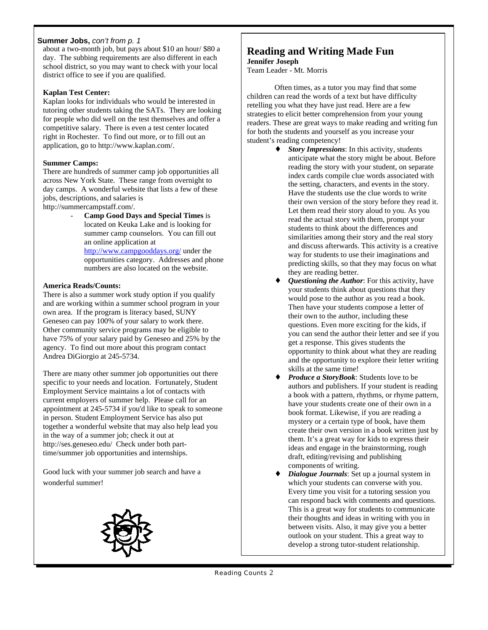### **Summer Jobs,** *con't from p. 1*

about a two-month job, but pays about \$10 an hour/ \$80 a day. The subbing requirements are also different in each school district, so you may want to check with your local district office to see if you are qualified.

### **Kaplan Test Center:**

Kaplan looks for individuals who would be interested in tutoring other students taking the SATs. They are looking for people who did well on the test themselves and offer a competitive salary. There is even a test center located right in Rochester. To find out more, or to fill out an application, go to http://www.kaplan.com/.

# **Summer Camps:**

There are hundreds of summer camp job opportunities all across New York State. These range from overnight to day camps. A wonderful website that lists a few of these jobs, descriptions, and salaries is

- http://summercampstaff.com/.
	- **Camp Good Days and Special Times** is located on Keuka Lake and is looking for summer camp counselors. You can fill out an online application at

http://www.campgooddays.org/ under the opportunities category. Addresses and phone numbers are also located on the website.

# **America Reads/Counts:**

There is also a summer work study option if you qualify and are working within a summer school program in your own area. If the program is literacy based, SUNY Geneseo can pay 100% of your salary to work there. Other community service programs may be eligible to have 75% of your salary paid by Geneseo and 25% by the agency. To find out more about this program contact Andrea DiGiorgio at 245-5734.

There are many other summer job opportunities out there specific to your needs and location. Fortunately, Student Employment Service maintains a lot of contacts with current employers of summer help. Please call for an appointment at 245-5734 if you'd like to speak to someone in person. Student Employment Service has also put together a wonderful website that may also help lead you in the way of a summer job; check it out at http://ses.geneseo.edu/ Check under both parttime/summer job opportunities and internships.

Good luck with your summer job search and have a wonderful summer!



# **Reading and Writing Made Fun Jennifer Joseph**

Team Leader - Mt. Morris

Often times, as a tutor you may find that some children can read the words of a text but have difficulty retelling you what they have just read. Here are a few strategies to elicit better comprehension from your young readers. These are great ways to make reading and writing fun for both the students and yourself as you increase your student's reading competency!

*Story Impressions*: In this activity, students anticipate what the story might be about. Before reading the story with your student, on separate index cards compile clue words associated with the setting, characters, and events in the story. Have the students use the clue words to write their own version of the story before they read it. Let them read their story aloud to you. As you read the actual story with them, prompt your students to think about the differences and similarities among their story and the real story and discuss afterwards. This activity is a creative way for students to use their imaginations and predicting skills, so that they may focus on what they are reading better.

*Questioning the Author*: For this activity, have your students think about questions that they would pose to the author as you read a book. Then have your students compose a letter of their own to the author, including these questions. Even more exciting for the kids, if you can send the author their letter and see if you get a response. This gives students the opportunity to think about what they are reading and the opportunity to explore their letter writing skills at the same time!

*Produce a StoryBook*: Students love to be authors and publishers. If your student is reading a book with a pattern, rhythms, or rhyme pattern, have your students create one of their own in a book format. Likewise, if you are reading a mystery or a certain type of book, have them create their own version in a book written just by them. It's a great way for kids to express their ideas and engage in the brainstorming, rough draft, editing/revising and publishing components of writing.

*Dialogue Journals*: Set up a journal system in which your students can converse with you. Every time you visit for a tutoring session you can respond back with comments and questions. This is a great way for students to communicate their thoughts and ideas in writing with you in between visits. Also, it may give you a better outlook on your student. This a great way to develop a strong tutor-student relationship.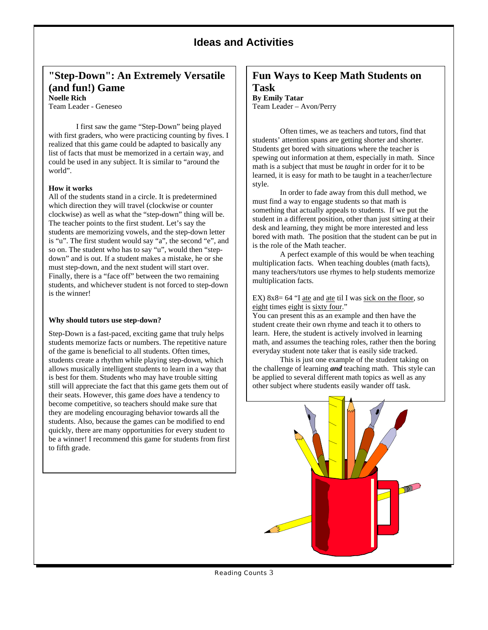# **Ideas and Activities**

# **"Step-Down": An Extremely Versatile (and fun!) Game Noelle Rich**

Team Leader - Geneseo

I first saw the game "Step-Down" being played with first graders, who were practicing counting by fives. I realized that this game could be adapted to basically any list of facts that must be memorized in a certain way, and could be used in any subject. It is similar to "around the world".

#### **How it works**

All of the students stand in a circle. It is predetermined which direction they will travel (clockwise or counter clockwise) as well as what the "step-down" thing will be. The teacher points to the first student. Let's say the students are memorizing vowels, and the step-down letter is "u". The first student would say "a", the second "e", and so on. The student who has to say "u", would then "stepdown" and is out. If a student makes a mistake, he or she must step-down, and the next student will start over. Finally, there is a "face off" between the two remaining students, and whichever student is not forced to step-down is the winner!

#### **Why should tutors use step-down?**

Step-Down is a fast-paced, exciting game that truly helps students memorize facts or numbers. The repetitive nature of the game is beneficial to all students. Often times, students create a rhythm while playing step-down, which allows musically intelligent students to learn in a way that is best for them. Students who may have trouble sitting still will appreciate the fact that this game gets them out of their seats. However, this game *does* have a tendency to become competitive, so teachers should make sure that they are modeling encouraging behavior towards all the students. Also, because the games can be modified to end quickly, there are many opportunities for every student to be a winner! I recommend this game for students from first to fifth grade.

# **Fun Ways to Keep Math Students on**

**Task By Emily Tatar**

Team Leader – Avon/Perry

Often times, we as teachers and tutors, find that students' attention spans are getting shorter and shorter. Students get bored with situations where the teacher is spewing out information at them, especially in math. Since math is a subject that must be *taught* in order for it to be learned, it is easy for math to be taught in a teacher/lecture style.

In order to fade away from this dull method, we must find a way to engage students so that math is something that actually appeals to students. If we put the student in a different position, other than just sitting at their desk and learning, they might be more interested and less bored with math. The position that the student can be put in is the role of the Math teacher.

A perfect example of this would be when teaching multiplication facts. When teaching doubles (math facts), many teachers/tutors use rhymes to help students memorize multiplication facts.

EX) 8x8= 64 "I ate and ate til I was sick on the floor, so eight times eight is sixty four."

You can present this as an example and then have the student create their own rhyme and teach it to others to learn. Here, the student is actively involved in learning math, and assumes the teaching roles, rather then the boring everyday student note taker that is easily side tracked.

This is just one example of the student taking on the challenge of learning *and* teaching math. This style can be applied to several different math topics as well as any other subject where students easily wander off task.